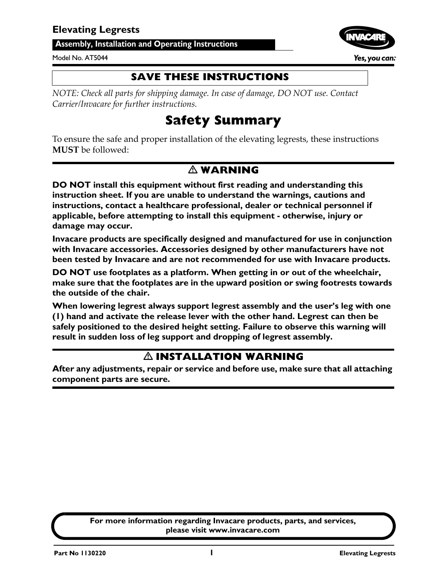#### <span id="page-0-0"></span>**Assembly, Installation and Operating Instructions**

#### Model No. AT5044



**SAVE THESE INSTRUCTIONS**

*NOTE: Check all parts for shipping damage. In case of damage, DO NOT use. Contact Carrier/Invacare for further instructions.*

### **Safety Summary**

To ensure the safe and proper installation of the elevating legrests, these instructions **MUST** be followed:

#### - **WARNING**

**DO NOT install this equipment without first reading and understanding this instruction sheet. If you are unable to understand the warnings, cautions and instructions, contact a healthcare professional, dealer or technical personnel if applicable, before attempting to install this equipment - otherwise, injury or damage may occur.**

**Invacare products are specifically designed and manufactured for use in conjunction with Invacare accessories. Accessories designed by other manufacturers have not been tested by Invacare and are not recommended for use with Invacare products.**

**DO NOT use footplates as a platform. When getting in or out of the wheelchair, make sure that the footplates are in the upward position or swing footrests towards the outside of the chair.**

**When lowering legrest always support legrest assembly and the user's leg with one (1) hand and activate the release lever with the other hand. Legrest can then be safely positioned to the desired height setting. Failure to observe this warning will result in sudden loss of leg support and dropping of legrest assembly.**

#### - **INSTALLATION WARNING**

**After any adjustments, repair or service and before use, make sure that all attaching component parts are secure.**

> **For more information regarding Invacare products, parts, and services, please visit www.invacare.com**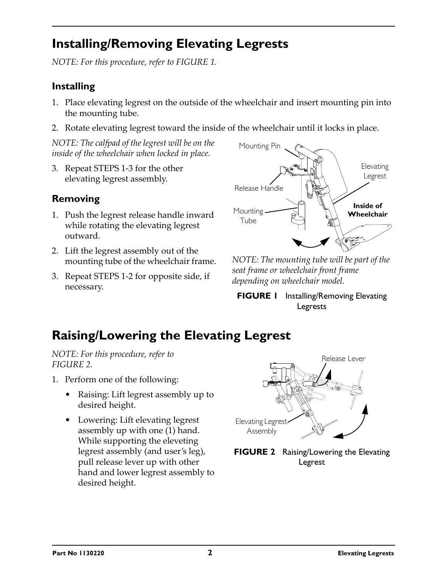# <span id="page-1-0"></span>**Installing/Removing Elevating Legrests**

*NOTE: For this procedure, refer to [FIGURE 1](#page-1-3).*

### **Installing**

- 1. Place elevating legrest on the outside of the wheelchair and insert mounting pin into the mounting tube.
- 2. Rotate elevating legrest toward the inside of the wheelchair until it locks in place.

*NOTE: The calfpad of the legrest will be on the inside of the wheelchair when locked in place.*

3. Repeat STEPS 1-3 for the other elevating legrest assembly.

### **Removing**

- 1. Push the legrest release handle inward while rotating the elevating legrest outward.
- 2. Lift the legrest assembly out of the mounting tube of the wheelchair frame.
- 3. Repeat STEPS 1-2 for opposite side, if necessary.



*NOTE: The mounting tube will be part of the seat frame or wheelchair front frame depending on wheelchair model.*

<span id="page-1-3"></span>**FIGURE 1** Installing/Removing Elevating [Legrests](#page-1-0)

# <span id="page-1-2"></span>**Raising/Lowering the Elevating Legrest**

*NOTE: For this procedure, refer to [FIGURE 2](#page-1-1).*

- 1. Perform one of the following:
	- Raising: Lift legrest assembly up to desired height.
	- Lowering: Lift elevating legrest assembly up with one (1) hand. While supporting the eleveting legrest assembly (and user's leg), pull release lever up with other hand and lower legrest assembly to desired height.



<span id="page-1-1"></span>**FIGURE 2** [Raising/Lowering the Elevating](#page-1-2)  [Legrest](#page-1-2)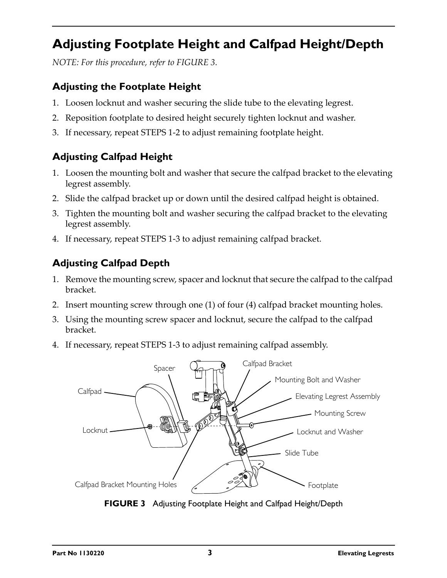# <span id="page-2-1"></span>**Adjusting Footplate Height and Calfpad Height/Depth**

*NOTE: For this procedure, refer to [FIGURE 3.](#page-2-0)*

### **Adjusting the Footplate Height**

- 1. Loosen locknut and washer securing the slide tube to the elevating legrest.
- 2. Reposition footplate to desired height securely tighten locknut and washer.
- 3. If necessary, repeat STEPS 1-2 to adjust remaining footplate height.

### **Adjusting Calfpad Height**

- 1. Loosen the mounting bolt and washer that secure the calfpad bracket to the elevating legrest assembly.
- 2. Slide the calfpad bracket up or down until the desired calfpad height is obtained.
- 3. Tighten the mounting bolt and washer securing the calfpad bracket to the elevating legrest assembly.
- 4. If necessary, repeat STEPS 1-3 to adjust remaining calfpad bracket.

### **Adjusting Calfpad Depth**

- 1. Remove the mounting screw, spacer and locknut that secure the calfpad to the calfpad bracket.
- 2. Insert mounting screw through one (1) of four (4) calfpad bracket mounting holes.
- 3. Using the mounting screw spacer and locknut, secure the calfpad to the calfpad bracket.
- 4. If necessary, repeat STEPS 1-3 to adjust remaining calfpad assembly.



<span id="page-2-0"></span>**FIGURE 3** [Adjusting Footplate Height and Calfpad Height/Depth](#page-2-1)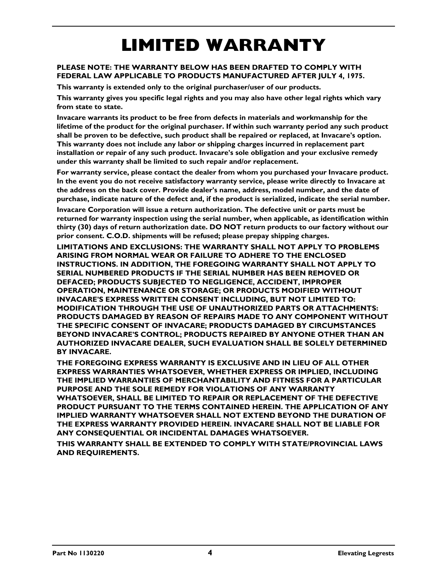# **LIMITED WARRANTY**

#### **PLEASE NOTE: THE WARRANTY BELOW HAS BEEN DRAFTED TO COMPLY WITH FEDERAL LAW APPLICABLE TO PRODUCTS MANUFACTURED AFTER JULY 4, 1975.**

**This warranty is extended only to the original purchaser/user of our products.**

**This warranty gives you specific legal rights and you may also have other legal rights which vary from state to state.**

**Invacare warrants its product to be free from defects in materials and workmanship for the lifetime of the product for the original purchaser. If within such warranty period any such product shall be proven to be defective, such product shall be repaired or replaced, at Invacare's option. This warranty does not include any labor or shipping charges incurred in replacement part installation or repair of any such product. Invacare's sole obligation and your exclusive remedy under this warranty shall be limited to such repair and/or replacement.**

**For warranty service, please contact the dealer from whom you purchased your Invacare product. In the event you do not receive satisfactory warranty service, please write directly to Invacare at the address on the back cover. Provide dealer's name, address, model number, and the date of purchase, indicate nature of the defect and, if the product is serialized, indicate the serial number.**

**Invacare Corporation will issue a return authorization. The defective unit or parts must be returned for warranty inspection using the serial number, when applicable, as identification within thirty (30) days of return authorization date. DO NOT return products to our factory without our prior consent. C.O.D. shipments will be refused; please prepay shipping charges.**

**LIMITATIONS AND EXCLUSIONS: THE WARRANTY SHALL NOT APPLY TO PROBLEMS ARISING FROM NORMAL WEAR OR FAILURE TO ADHERE TO THE ENCLOSED INSTRUCTIONS. IN ADDITION, THE FOREGOING WARRANTY SHALL NOT APPLY TO SERIAL NUMBERED PRODUCTS IF THE SERIAL NUMBER HAS BEEN REMOVED OR DEFACED; PRODUCTS SUBJECTED TO NEGLIGENCE, ACCIDENT, IMPROPER OPERATION, MAINTENANCE OR STORAGE; OR PRODUCTS MODIFIED WITHOUT INVACARE'S EXPRESS WRITTEN CONSENT INCLUDING, BUT NOT LIMITED TO: MODIFICATION THROUGH THE USE OF UNAUTHORIZED PARTS OR ATTACHMENTS: PRODUCTS DAMAGED BY REASON OF REPAIRS MADE TO ANY COMPONENT WITHOUT THE SPECIFIC CONSENT OF INVACARE; PRODUCTS DAMAGED BY CIRCUMSTANCES BEYOND INVACARE'S CONTROL; PRODUCTS REPAIRED BY ANYONE OTHER THAN AN AUTHORIZED INVACARE DEALER, SUCH EVALUATION SHALL BE SOLELY DETERMINED BY INVACARE.**

**THE FOREGOING EXPRESS WARRANTY IS EXCLUSIVE AND IN LIEU OF ALL OTHER EXPRESS WARRANTIES WHATSOEVER, WHETHER EXPRESS OR IMPLIED, INCLUDING THE IMPLIED WARRANTIES OF MERCHANTABILITY AND FITNESS FOR A PARTICULAR PURPOSE AND THE SOLE REMEDY FOR VIOLATIONS OF ANY WARRANTY WHATSOEVER, SHALL BE LIMITED TO REPAIR OR REPLACEMENT OF THE DEFECTIVE PRODUCT PURSUANT TO THE TERMS CONTAINED HEREIN. THE APPLICATION OF ANY IMPLIED WARRANTY WHATSOEVER SHALL NOT EXTEND BEYOND THE DURATION OF THE EXPRESS WARRANTY PROVIDED HEREIN. INVACARE SHALL NOT BE LIABLE FOR ANY CONSEQUENTIAL OR INCIDENTAL DAMAGES WHATSOEVER.**

**THIS WARRANTY SHALL BE EXTENDED TO COMPLY WITH STATE/PROVINCIAL LAWS AND REQUIREMENTS.**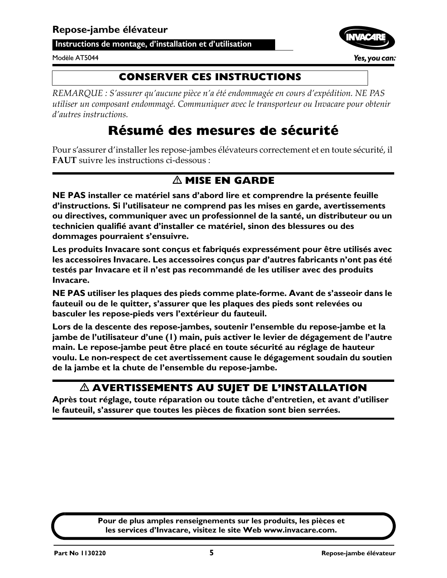<span id="page-4-0"></span>**Instructions de montage, d'installation et d'utilisation**

#### Modèle AT5044

#### **CONSERVER CES INSTRUCTIONS**

*REMARQUE : S'assurer qu'aucune pièce n'a été endommagée en cours d'expédition. NE PAS utiliser un composant endommagé. Communiquer avec le transporteur ou Invacare pour obtenir d'autres instructions.*

# **Résumé des mesures de sécurité**

Pour s'assurer d'installer les repose-jambes élévateurs correctement et en toute sécurité, il **FAUT** suivre les instructions ci-dessous :

### - **MISE EN GARDE**

**NE PAS installer ce matériel sans d'abord lire et comprendre la présente feuille d'instructions. Si l'utilisateur ne comprend pas les mises en garde, avertissements ou directives, communiquer avec un professionnel de la santé, un distributeur ou un technicien qualifié avant d'installer ce matériel, sinon des blessures ou des dommages pourraient s'ensuivre.**

**Les produits Invacare sont conçus et fabriqués expressément pour être utilisés avec les accessoires Invacare. Les accessoires conçus par d'autres fabricants n'ont pas été testés par Invacare et il n'est pas recommandé de les utiliser avec des produits Invacare.**

**NE PAS utiliser les plaques des pieds comme plate-forme. Avant de s'asseoir dans le fauteuil ou de le quitter, s'assurer que les plaques des pieds sont relevées ou basculer les repose-pieds vers l'extérieur du fauteuil.**

**Lors de la descente des repose-jambes, soutenir l'ensemble du repose-jambe et la jambe de l'utilisateur d'une (1) main, puis activer le levier de dégagement de l'autre main. Le repose-jambe peut être placé en toute sécurité au réglage de hauteur voulu. Le non-respect de cet avertissement cause le dégagement soudain du soutien de la jambe et la chute de l'ensemble du repose-jambe.**

#### $\Delta$  AVERTISSEMENTS AU SUJET DE L'INSTALLATION

**Après tout réglage, toute réparation ou toute tâche d'entretien, et avant d'utiliser le fauteuil, s'assurer que toutes les pièces de fixation sont bien serrées.**

> **Pour de plus amples renseignements sur les produits, les pièces et les services d'Invacare, visitez le site Web www.invacare.com.**

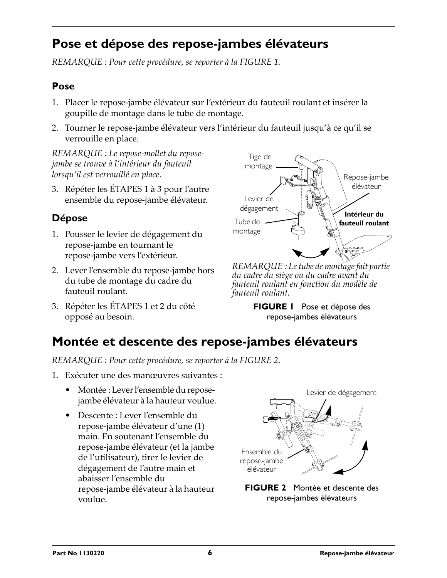# <span id="page-5-1"></span>**Pose et dépose des repose-jambes élévateurs**

*REMARQUE : Pour cette procédure, se reporter à la [FIGURE 1](#page-5-0).*

#### **Pose**

- 1. Placer le repose-jambe élévateur sur l'extérieur du fauteuil roulant et insérer la goupille de montage dans le tube de montage.
- 2. Tourner le repose-jambe élévateur vers l'intérieur du fauteuil jusqu'à ce qu'il se verrouille en place.

*REMARQUE : Le repose-mollet du reposejambe se trouve à l'intérieur du fauteuil lorsqu'il est verrouillé en place.*

3. Répéter les ÉTAPES 1 à 3 pour l'autre ensemble du repose-jambe élévateur.

#### **Dépose**

- 1. Pousser le levier de dégagement du repose-jambe en tournant le repose-jambe vers l'extérieur.
- 2. Lever l'ensemble du repose-jambe hors du tube de montage du cadre du fauteuil roulant.
- 3. Répéter les ÉTAPES 1 et 2 du côté opposé au besoin.



*REMARQUE : Le tube de montage fait partie du cadre du siège ou du cadre avant du fauteuil roulant en fonction du modèle de fauteuil roulant.*

<span id="page-5-0"></span>**FIGURE 1** [Pose et dépose des](#page-5-1)  [repose-jambes élévateurs](#page-5-1)

# <span id="page-5-3"></span>**Montée et descente des repose-jambes élévateurs**

*REMARQUE : Pour cette procédure, se reporter à la [FIGURE 2](#page-5-2).*

- 1. Exécuter une des manœuvres suivantes :
	- Montée : Lever l'ensemble du reposejambe élévateur à la hauteur voulue.
	- Descente : Lever l'ensemble du repose-jambe élévateur d'une (1) main. En soutenant l'ensemble du repose-jambe élévateur (et la jambe de l'utilisateur), tirer le levier de dégagement de l'autre main et abaisser l'ensemble du repose-jambe élévateur à la hauteur voulue.



<span id="page-5-2"></span>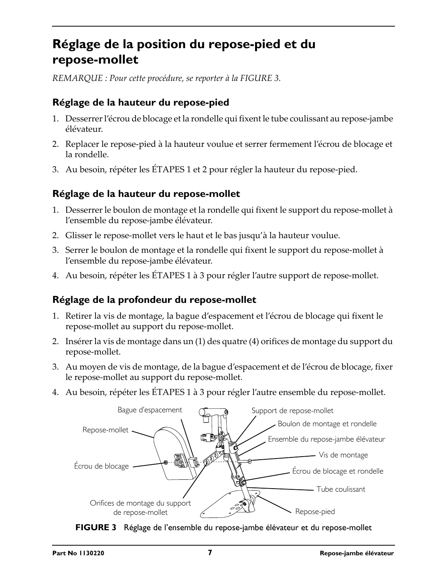### **Réglage de la position du repose-pied et du repose-mollet**

*REMARQUE : Pour cette procédure, se reporter à la [FIGURE 3](#page-6-0).*

#### **Réglage de la hauteur du repose-pied**

- 1. Desserrer l'écrou de blocage et la rondelle qui fixent le tube coulissant au repose-jambe élévateur.
- 2. Replacer le repose-pied à la hauteur voulue et serrer fermement l'écrou de blocage et la rondelle.
- 3. Au besoin, répéter les ÉTAPES 1 et 2 pour régler la hauteur du repose-pied.

#### **Réglage de la hauteur du repose-mollet**

- 1. Desserrer le boulon de montage et la rondelle qui fixent le support du repose-mollet à l'ensemble du repose-jambe élévateur.
- 2. Glisser le repose-mollet vers le haut et le bas jusqu'à la hauteur voulue.
- 3. Serrer le boulon de montage et la rondelle qui fixent le support du repose-mollet à l'ensemble du repose-jambe élévateur.
- 4. Au besoin, répéter les ÉTAPES 1 à 3 pour régler l'autre support de repose-mollet.

#### **Réglage de la profondeur du repose-mollet**

- 1. Retirer la vis de montage, la bague d'espacement et l'écrou de blocage qui fixent le repose-mollet au support du repose-mollet.
- 2. Insérer la vis de montage dans un (1) des quatre (4) orifices de montage du support du repose-mollet.
- 3. Au moyen de vis de montage, de la bague d'espacement et de l'écrou de blocage, fixer le repose-mollet au support du repose-mollet.
- 4. Au besoin, répéter les ÉTAPES 1 à 3 pour régler l'autre ensemble du repose-mollet.

<span id="page-6-0"></span>

**FIGURE 3** Réglage de l'ensemble du repose-jambe élévateur et du repose-mollet